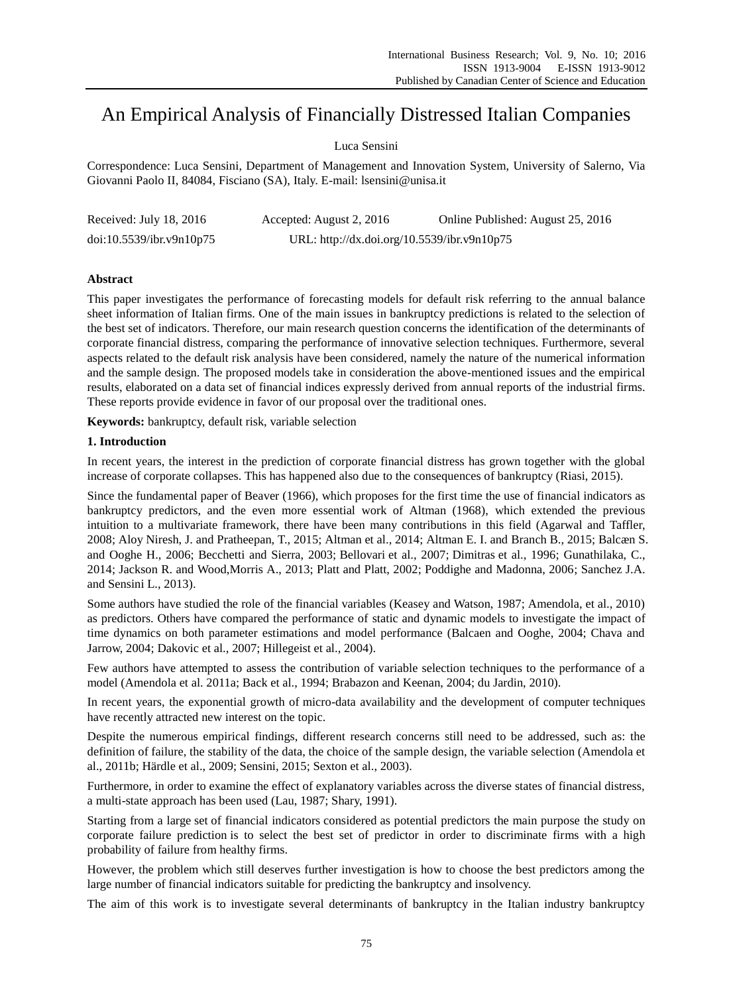# An Empirical Analysis of Financially Distressed Italian Companies

## Luca Sensini

Correspondence: Luca Sensini, Department of Management and Innovation System, University of Salerno, Via Giovanni Paolo II, 84084, Fisciano (SA), Italy. E-mail: lsensini@unisa.it

| Received: July 18, 2016  | Accepted: August 2, 2016                    | Online Published: August 25, 2016 |
|--------------------------|---------------------------------------------|-----------------------------------|
| doi:10.5539/ibr.v9n10p75 | URL: http://dx.doi.org/10.5539/ibr.v9n10p75 |                                   |

## **Abstract**

This paper investigates the performance of forecasting models for default risk referring to the annual balance sheet information of Italian firms. One of the main issues in bankruptcy predictions is related to the selection of the best set of indicators. Therefore, our main research question concerns the identification of the determinants of corporate financial distress, comparing the performance of innovative selection techniques. Furthermore, several aspects related to the default risk analysis have been considered, namely the nature of the numerical information and the sample design. The proposed models take in consideration the above-mentioned issues and the empirical results, elaborated on a data set of financial indices expressly derived from annual reports of the industrial firms. These reports provide evidence in favor of our proposal over the traditional ones.

**Keywords:** bankruptcy, default risk, variable selection

#### **1. Introduction**

In recent years, the interest in the prediction of corporate financial distress has grown together with the global increase of corporate collapses. This has happened also due to the consequences of bankruptcy (Riasi, 2015).

Since the fundamental paper of Beaver (1966), which proposes for the first time the use of financial indicators as bankruptcy predictors, and the even more essential work of Altman (1968), which extended the previous intuition to a multivariate framework, there have been many contributions in this field (Agarwal and Taffler, 2008; Aloy Niresh, J. and Pratheepan, T., 2015; Altman et al., 2014; Altman E. I. and Branch B., 2015; Balcæn S. and Ooghe H., 2006; Becchetti and Sierra, 2003; Bellovari et al., 2007; Dimitras et al., 1996; Gunathilaka, C., 2014; Jackson R. and Wood,Morris A., 2013; Platt and Platt, 2002; Poddighe and Madonna, 2006; Sanchez J.A. and Sensini L., 2013).

Some authors have studied the role of the financial variables (Keasey and Watson, 1987; Amendola, et al., 2010) as predictors. Others have compared the performance of static and dynamic models to investigate the impact of time dynamics on both parameter estimations and model performance (Balcaen and Ooghe, 2004; Chava and Jarrow, 2004; Dakovic et al., 2007; Hillegeist et al., 2004).

Few authors have attempted to assess the contribution of variable selection techniques to the performance of a model (Amendola et al. 2011a; Back et al., 1994; Brabazon and Keenan, 2004; du Jardin, 2010).

In recent years, the exponential growth of micro-data availability and the development of computer techniques have recently attracted new interest on the topic.

Despite the numerous empirical findings, different research concerns still need to be addressed, such as: the definition of failure, the stability of the data, the choice of the sample design, the variable selection (Amendola et al., 2011b; Härdle et al., 2009; Sensini, 2015; Sexton et al., 2003).

Furthermore, in order to examine the effect of explanatory variables across the diverse states of financial distress, a multi-state approach has been used (Lau, 1987; Shary, 1991).

Starting from a large set of financial indicators considered as potential predictors the main purpose the study on corporate failure prediction is to select the best set of predictor in order to discriminate firms with a high probability of failure from healthy firms.

However, the problem which still deserves further investigation is how to choose the best predictors among the large number of financial indicators suitable for predicting the bankruptcy and insolvency.

The aim of this work is to investigate several determinants of bankruptcy in the Italian industry bankruptcy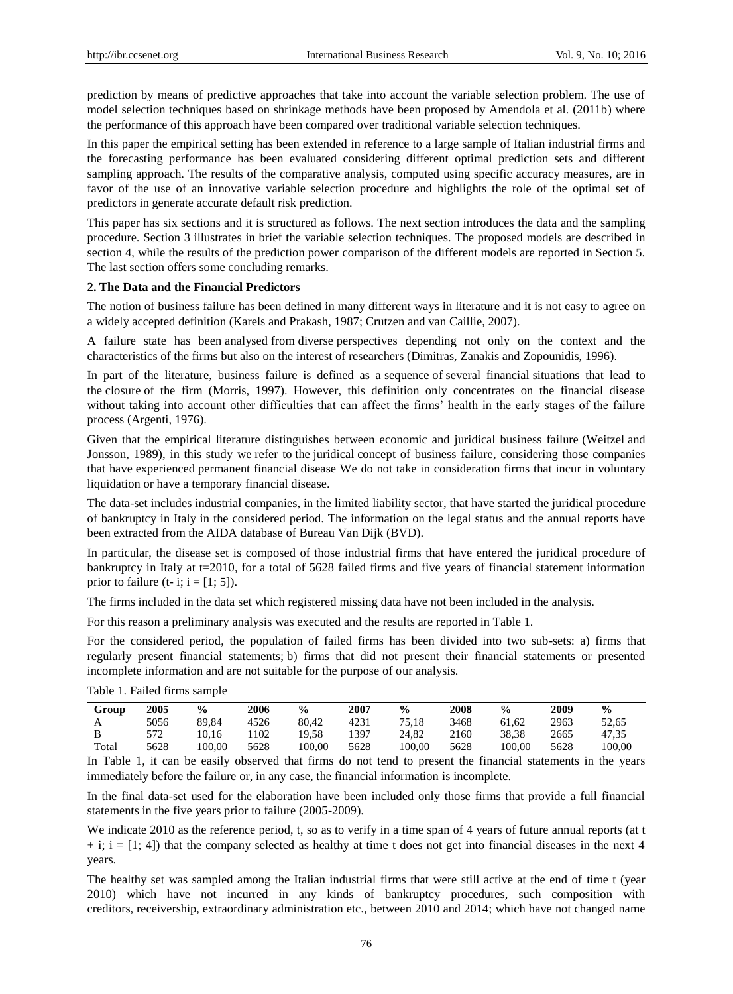prediction by means of predictive approaches that take into account the variable selection problem. The use of model selection techniques based on shrinkage methods have been proposed by Amendola et al. (2011b) where the performance of this approach have been compared over traditional variable selection techniques.

In this paper the empirical setting has been extended in reference to a large sample of Italian industrial firms and the forecasting performance has been evaluated considering different optimal prediction sets and different sampling approach. The results of the comparative analysis, computed using specific accuracy measures, are in favor of the use of an innovative variable selection procedure and highlights the role of the optimal set of predictors in generate accurate default risk prediction.

This paper has six sections and it is structured as follows. The next section introduces the data and the sampling procedure. Section 3 illustrates in brief the variable selection techniques. The proposed models are described in section 4, while the results of the prediction power comparison of the different models are reported in Section 5. The last section offers some concluding remarks.

#### **2. The Data and the Financial Predictors**

The notion of business failure has been defined in many different ways in literature and it is not easy to agree on a widely accepted definition (Karels and Prakash, 1987; Crutzen and van Caillie, 2007).

A failure state has been analysed from diverse perspectives depending not only on the context and the characteristics of the firms but also on the interest of researchers (Dimitras, Zanakis and Zopounidis, 1996).

In part of the literature, business failure is defined as a sequence of several financial situations that lead to the closure of the firm (Morris, 1997). However, this definition only concentrates on the financial disease without taking into account other difficulties that can affect the firms' health in the early stages of the failure process (Argenti, 1976).

Given that the empirical literature distinguishes between economic and juridical business failure (Weitzel and Jonsson, 1989), in this study we refer to the juridical concept of business failure, considering those companies that have experienced permanent financial disease We do not take in consideration firms that incur in voluntary liquidation or have a temporary financial disease.

The data-set includes industrial companies, in the limited liability sector, that have started the juridical procedure of bankruptcy in Italy in the considered period. The information on the legal status and the annual reports have been extracted from the AIDA database of Bureau Van Dijk (BVD).

In particular, the disease set is composed of those industrial firms that have entered the juridical procedure of bankruptcy in Italy at t=2010, for a total of 5628 failed firms and five years of financial statement information prior to failure (t- i;  $i = [1; 5]$ ).

The firms included in the data set which registered missing data have not been included in the analysis.

For this reason a preliminary analysis was executed and the results are reported in Table 1.

For the considered period, the population of failed firms has been divided into two sub-sets: a) firms that regularly present financial statements; b) firms that did not present their financial statements or presented incomplete information and are not suitable for the purpose of our analysis.

| Group | 2005 | $\frac{6}{6}$ | 2006 | $\frac{0}{0}$ | 2007 | $\frac{0}{0}$ | 2008 | $\frac{0}{0}$ | 2009 | $\frac{0}{0}$ |
|-------|------|---------------|------|---------------|------|---------------|------|---------------|------|---------------|
| A     | 5056 | 89.84         | 4526 | 80.42         | 4231 | 75.18         | 3468 | 61.62         | 2963 | 52.65         |
| B     | 572  | 10.16         | 102  | 19.58         | 1397 | 24.82         | 2160 | 38.38         | 2665 | 47.35         |
| Total | 5628 | 100.00        | 5628 | 100.00        | 5628 | 100.00        | 5628 | 100.00        | 5628 | 100.00        |

Table 1. Failed firms sample

In Table 1, it can be easily observed that firms do not tend to present the financial statements in the years immediately before the failure or, in any case, the financial information is incomplete.

In the final data-set used for the elaboration have been included only those firms that provide a full financial statements in the five years prior to failure (2005-2009).

We indicate 2010 as the reference period, t, so as to verify in a time span of 4 years of future annual reports (at t  $+$  i;  $i = [1; 4]$ ) that the company selected as healthy at time t does not get into financial diseases in the next 4 years.

The healthy set was sampled among the Italian industrial firms that were still active at the end of time t (year 2010) which have not incurred in any kinds of bankruptcy procedures, such composition with creditors, receivership, extraordinary administration etc., between 2010 and 2014; which have not changed name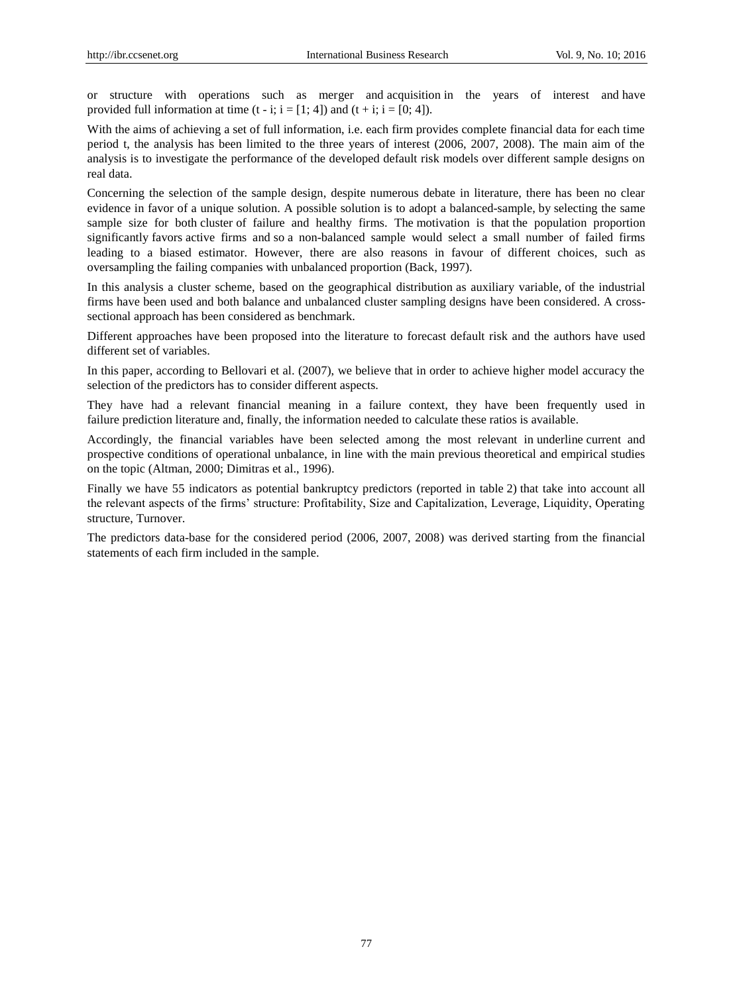or structure with operations such as merger and acquisition in the years of interest and have provided full information at time  $(t - i; i = [1; 4])$  and  $(t + i; i = [0; 4])$ .

With the aims of achieving a set of full information, i.e. each firm provides complete financial data for each time period t, the analysis has been limited to the three years of interest (2006, 2007, 2008). The main aim of the analysis is to investigate the performance of the developed default risk models over different sample designs on real data.

Concerning the selection of the sample design, despite numerous debate in literature, there has been no clear evidence in favor of a unique solution. A possible solution is to adopt a balanced-sample, by selecting the same sample size for both cluster of failure and healthy firms. The motivation is that the population proportion significantly favors active firms and so a non-balanced sample would select a small number of failed firms leading to a biased estimator. However, there are also reasons in favour of different choices, such as oversampling the failing companies with unbalanced proportion (Back, 1997).

In this analysis a cluster scheme, based on the geographical distribution as auxiliary variable, of the industrial firms have been used and both balance and unbalanced cluster sampling designs have been considered. A crosssectional approach has been considered as benchmark.

Different approaches have been proposed into the literature to forecast default risk and the authors have used different set of variables.

In this paper, according to Bellovari et al. (2007), we believe that in order to achieve higher model accuracy the selection of the predictors has to consider different aspects.

They have had a relevant financial meaning in a failure context, they have been frequently used in failure prediction literature and, finally, the information needed to calculate these ratios is available.

Accordingly, the financial variables have been selected among the most relevant in underline current and prospective conditions of operational unbalance, in line with the main previous theoretical and empirical studies on the topic (Altman, 2000; Dimitras et al., 1996).

Finally we have 55 indicators as potential bankruptcy predictors (reported in table 2) that take into account all the relevant aspects of the firms' structure: Profitability, Size and Capitalization, Leverage, Liquidity, Operating structure, Turnover.

The predictors data-base for the considered period (2006, 2007, 2008) was derived starting from the financial statements of each firm included in the sample.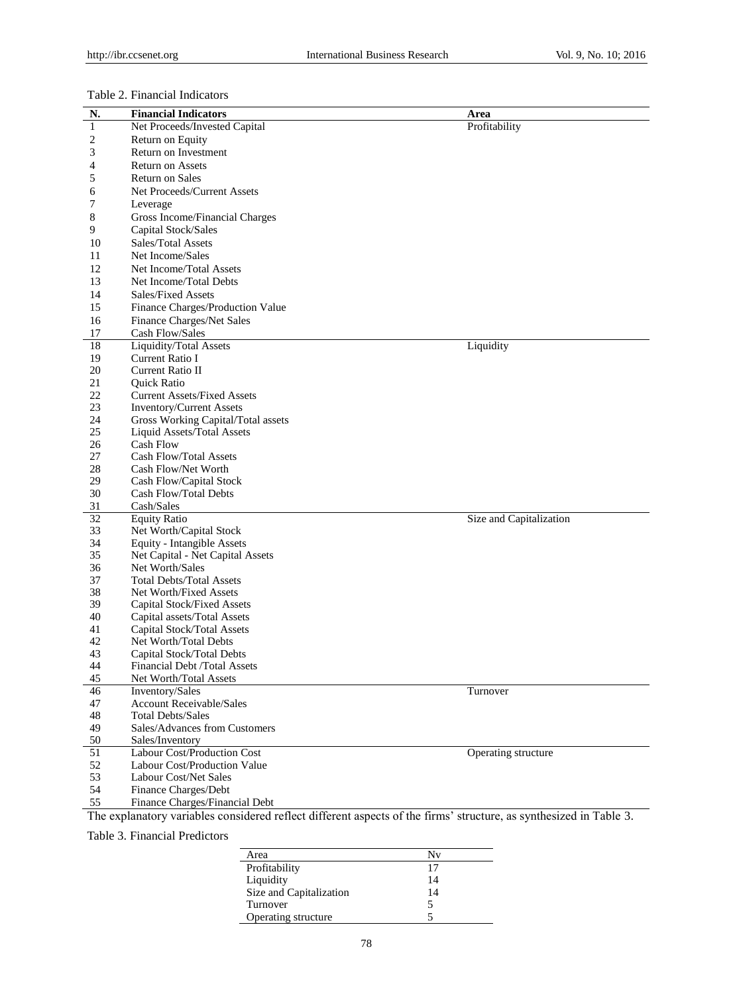## Table 2. Financial Indicators

| N. | <b>Financial Indicators</b>                                                                                        | Area                    |
|----|--------------------------------------------------------------------------------------------------------------------|-------------------------|
| 1  | Net Proceeds/Invested Capital                                                                                      | Profitability           |
| 2  | Return on Equity                                                                                                   |                         |
| 3  | Return on Investment                                                                                               |                         |
| 4  | Return on Assets                                                                                                   |                         |
| 5  | <b>Return on Sales</b>                                                                                             |                         |
|    |                                                                                                                    |                         |
| 6  | Net Proceeds/Current Assets                                                                                        |                         |
| 7  | Leverage                                                                                                           |                         |
| 8  | Gross Income/Financial Charges                                                                                     |                         |
| 9  | Capital Stock/Sales                                                                                                |                         |
| 10 | Sales/Total Assets                                                                                                 |                         |
| 11 | Net Income/Sales                                                                                                   |                         |
| 12 | Net Income/Total Assets                                                                                            |                         |
| 13 | Net Income/Total Debts                                                                                             |                         |
| 14 | <b>Sales/Fixed Assets</b>                                                                                          |                         |
| 15 | Finance Charges/Production Value                                                                                   |                         |
| 16 | Finance Charges/Net Sales                                                                                          |                         |
| 17 | Cash Flow/Sales                                                                                                    |                         |
| 18 | <b>Liquidity/Total Assets</b>                                                                                      | Liquidity               |
| 19 | Current Ratio I                                                                                                    |                         |
| 20 | <b>Current Ratio II</b>                                                                                            |                         |
| 21 | Quick Ratio                                                                                                        |                         |
| 22 | <b>Current Assets/Fixed Assets</b>                                                                                 |                         |
| 23 | <b>Inventory/Current Assets</b>                                                                                    |                         |
| 24 | Gross Working Capital/Total assets                                                                                 |                         |
| 25 | Liquid Assets/Total Assets                                                                                         |                         |
| 26 | <b>Cash Flow</b>                                                                                                   |                         |
| 27 | Cash Flow/Total Assets                                                                                             |                         |
| 28 | Cash Flow/Net Worth                                                                                                |                         |
| 29 | Cash Flow/Capital Stock                                                                                            |                         |
| 30 | Cash Flow/Total Debts                                                                                              |                         |
| 31 | Cash/Sales                                                                                                         |                         |
| 32 | <b>Equity Ratio</b>                                                                                                | Size and Capitalization |
| 33 | Net Worth/Capital Stock                                                                                            |                         |
| 34 | Equity - Intangible Assets                                                                                         |                         |
| 35 | Net Capital - Net Capital Assets                                                                                   |                         |
| 36 | Net Worth/Sales                                                                                                    |                         |
| 37 | <b>Total Debts/Total Assets</b>                                                                                    |                         |
| 38 | Net Worth/Fixed Assets                                                                                             |                         |
| 39 | Capital Stock/Fixed Assets                                                                                         |                         |
| 40 | Capital assets/Total Assets                                                                                        |                         |
| 41 | Capital Stock/Total Assets                                                                                         |                         |
| 42 | Net Worth/Total Debts                                                                                              |                         |
| 43 | Capital Stock/Total Debts                                                                                          |                         |
| 44 | <b>Financial Debt /Total Assets</b>                                                                                |                         |
| 45 | Net Worth/Total Assets                                                                                             |                         |
| 46 | Inventory/Sales                                                                                                    | Turnover                |
| 47 | <b>Account Receivable/Sales</b>                                                                                    |                         |
| 48 | <b>Total Debts/Sales</b>                                                                                           |                         |
| 49 | Sales/Advances from Customers                                                                                      |                         |
| 50 | Sales/Inventory                                                                                                    |                         |
| 51 | Labour Cost/Production Cost                                                                                        | Operating structure     |
| 52 | Labour Cost/Production Value                                                                                       |                         |
| 53 | <b>Labour Cost/Net Sales</b>                                                                                       |                         |
| 54 | Finance Charges/Debt                                                                                               |                         |
| 55 | Finance Charges/Financial Debt                                                                                     |                         |
|    | The explanatory variables considered reflect different aspects of the firms' structure, as synthesized in Table 3. |                         |

Table 3. Financial Predictors

| Area                    | Nv |
|-------------------------|----|
| Profitability           | 17 |
| Liquidity               | 14 |
| Size and Capitalization | 14 |
| Turnover                |    |
| Operating structure     |    |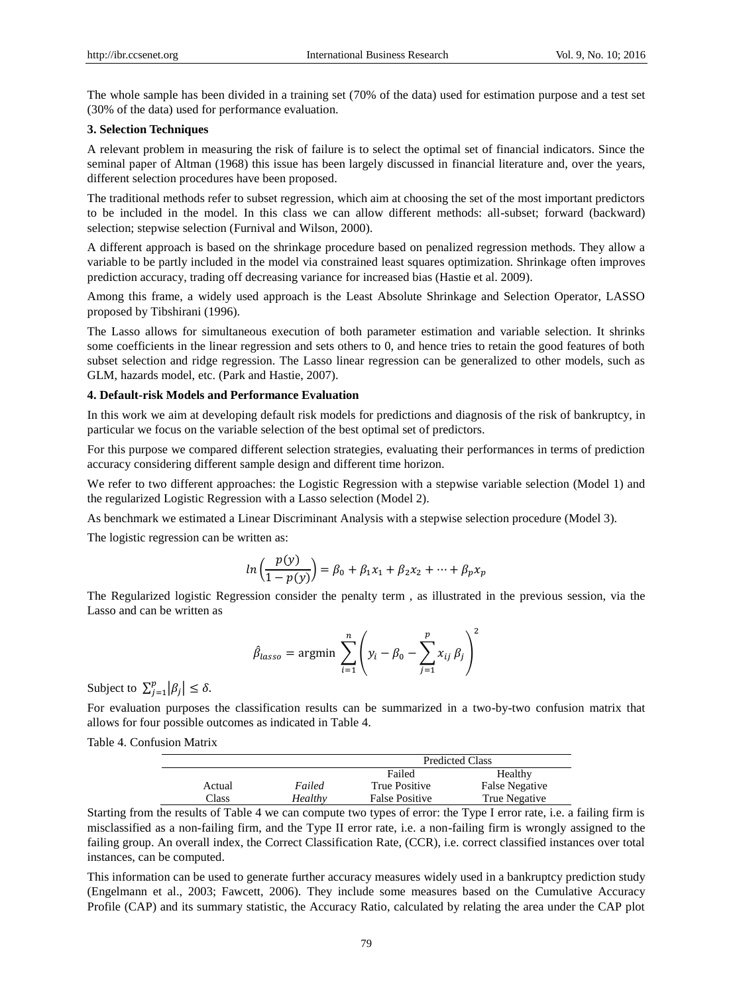The whole sample has been divided in a training set (70% of the data) used for estimation purpose and a test set (30% of the data) used for performance evaluation.

## **3. Selection Techniques**

A relevant problem in measuring the risk of failure is to select the optimal set of financial indicators. Since the seminal paper of Altman (1968) this issue has been largely discussed in financial literature and, over the years, different selection procedures have been proposed.

The traditional methods refer to subset regression, which aim at choosing the set of the most important predictors to be included in the model. In this class we can allow different methods: all-subset; forward (backward) selection; stepwise selection (Furnival and Wilson, 2000).

A different approach is based on the shrinkage procedure based on penalized regression methods. They allow a variable to be partly included in the model via constrained least squares optimization. Shrinkage often improves prediction accuracy, trading off decreasing variance for increased bias (Hastie et al. 2009).

Among this frame, a widely used approach is the Least Absolute Shrinkage and Selection Operator, LASSO proposed by Tibshirani (1996).

The Lasso allows for simultaneous execution of both parameter estimation and variable selection. It shrinks some coefficients in the linear regression and sets others to 0, and hence tries to retain the good features of both subset selection and ridge regression. The Lasso linear regression can be generalized to other models, such as GLM, hazards model, etc. (Park and Hastie, 2007).

#### **4. Default-risk Models and Performance Evaluation**

In this work we aim at developing default risk models for predictions and diagnosis of the risk of bankruptcy, in particular we focus on the variable selection of the best optimal set of predictors.

For this purpose we compared different selection strategies, evaluating their performances in terms of prediction accuracy considering different sample design and different time horizon.

We refer to two different approaches: the Logistic Regression with a stepwise variable selection (Model 1) and the regularized Logistic Regression with a Lasso selection (Model 2).

As benchmark we estimated a Linear Discriminant Analysis with a stepwise selection procedure (Model 3).

The logistic regression can be written as:

$$
ln\left(\frac{p(y)}{1 - p(y)}\right) = \beta_0 + \beta_1 x_1 + \beta_2 x_2 + \dots + \beta_p x_p
$$

The Regularized logistic Regression consider the penalty term , as illustrated in the previous session, via the Lasso and can be written as

$$
\hat{\beta}_{lasso} = \operatorname{argmin} \sum_{i=1}^{n} \left( y_i - \beta_0 - \sum_{j=1}^{p} x_{ij} \beta_j \right)^2
$$

Subject to  $\sum_{j=1}^{p} |\beta_j| \leq \delta$ .

For evaluation purposes the classification results can be summarized in a two-by-two confusion matrix that allows for four possible outcomes as indicated in Table 4.

Table 4. Confusion Matrix

|        |         |                       | <b>Predicted Class</b> |
|--------|---------|-----------------------|------------------------|
|        |         | Failed                | Healthy                |
| Actual | Failed  | True Positive         | False Negative         |
| Class  | Healthy | <b>False Positive</b> | True Negative          |

Starting from the results of Table 4 we can compute two types of error: the Type I error rate, i.e. a failing firm is misclassified as a non-failing firm, and the Type II error rate, i.e. a non-failing firm is wrongly assigned to the failing group. An overall index, the Correct Classification Rate, (CCR), i.e. correct classified instances over total instances, can be computed.

This information can be used to generate further accuracy measures widely used in a bankruptcy prediction study (Engelmann et al., 2003; Fawcett, 2006). They include some measures based on the Cumulative Accuracy Profile (CAP) and its summary statistic, the Accuracy Ratio, calculated by relating the area under the CAP plot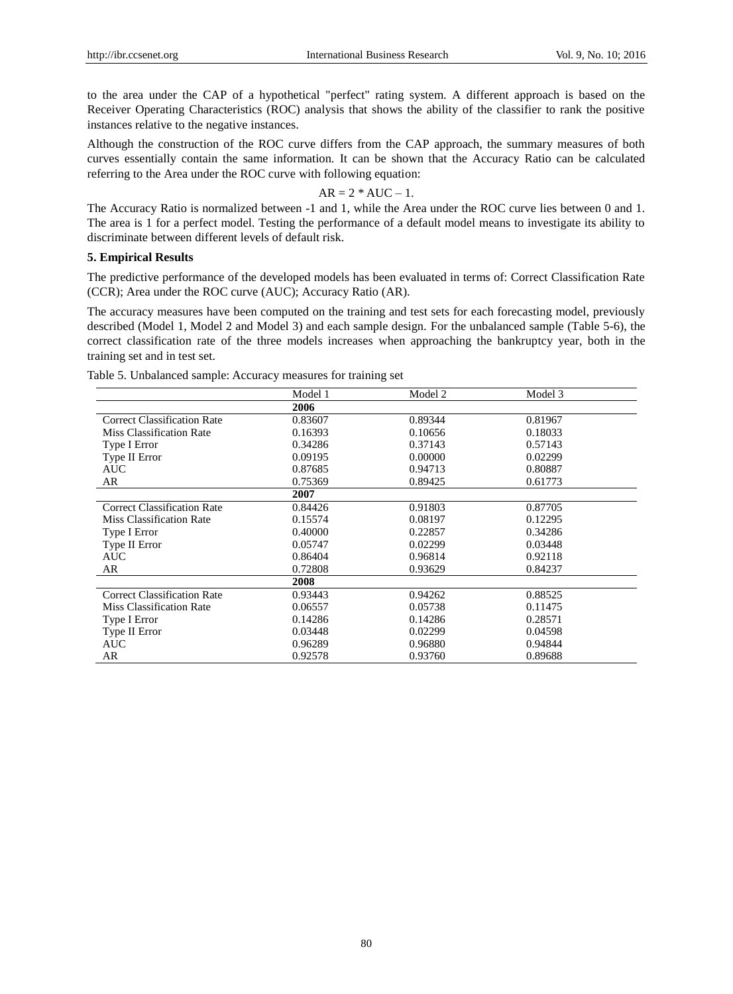to the area under the CAP of a hypothetical "perfect" rating system. A different approach is based on the Receiver Operating Characteristics (ROC) analysis that shows the ability of the classifier to rank the positive instances relative to the negative instances.

Although the construction of the ROC curve differs from the CAP approach, the summary measures of both curves essentially contain the same information. It can be shown that the Accuracy Ratio can be calculated referring to the Area under the ROC curve with following equation:

## $AR = 2 * AUC - 1.$

The Accuracy Ratio is normalized between -1 and 1, while the Area under the ROC curve lies between 0 and 1. The area is 1 for a perfect model. Testing the performance of a default model means to investigate its ability to discriminate between different levels of default risk.

#### **5. Empirical Results**

The predictive performance of the developed models has been evaluated in terms of: Correct Classification Rate (CCR); Area under the ROC curve (AUC); Accuracy Ratio (AR).

The accuracy measures have been computed on the training and test sets for each forecasting model, previously described (Model 1, Model 2 and Model 3) and each sample design. For the unbalanced sample (Table 5-6), the correct classification rate of the three models increases when approaching the bankruptcy year, both in the training set and in test set.

|  |  | Table 5. Unbalanced sample: Accuracy measures for training set |  |  |  |  |  |  |
|--|--|----------------------------------------------------------------|--|--|--|--|--|--|
|--|--|----------------------------------------------------------------|--|--|--|--|--|--|

|                                    | Model 1 | Model 2 | Model 3 |  |
|------------------------------------|---------|---------|---------|--|
|                                    | 2006    |         |         |  |
| <b>Correct Classification Rate</b> | 0.83607 | 0.89344 | 0.81967 |  |
| <b>Miss Classification Rate</b>    | 0.16393 | 0.10656 | 0.18033 |  |
| Type I Error                       | 0.34286 | 0.37143 | 0.57143 |  |
| Type II Error                      | 0.09195 | 0.00000 | 0.02299 |  |
| <b>AUC</b>                         | 0.87685 | 0.94713 | 0.80887 |  |
| AR                                 | 0.75369 | 0.89425 | 0.61773 |  |
|                                    | 2007    |         |         |  |
| <b>Correct Classification Rate</b> | 0.84426 | 0.91803 | 0.87705 |  |
| <b>Miss Classification Rate</b>    | 0.15574 | 0.08197 | 0.12295 |  |
| Type I Error                       | 0.40000 | 0.22857 | 0.34286 |  |
| Type II Error                      | 0.05747 | 0.02299 | 0.03448 |  |
| <b>AUC</b>                         | 0.86404 | 0.96814 | 0.92118 |  |
| AR                                 | 0.72808 | 0.93629 | 0.84237 |  |
|                                    | 2008    |         |         |  |
| <b>Correct Classification Rate</b> | 0.93443 | 0.94262 | 0.88525 |  |
| <b>Miss Classification Rate</b>    | 0.06557 | 0.05738 | 0.11475 |  |
| Type I Error                       | 0.14286 | 0.14286 | 0.28571 |  |
| Type II Error                      | 0.03448 | 0.02299 | 0.04598 |  |
| <b>AUC</b>                         | 0.96289 | 0.96880 | 0.94844 |  |
| AR                                 | 0.92578 | 0.93760 | 0.89688 |  |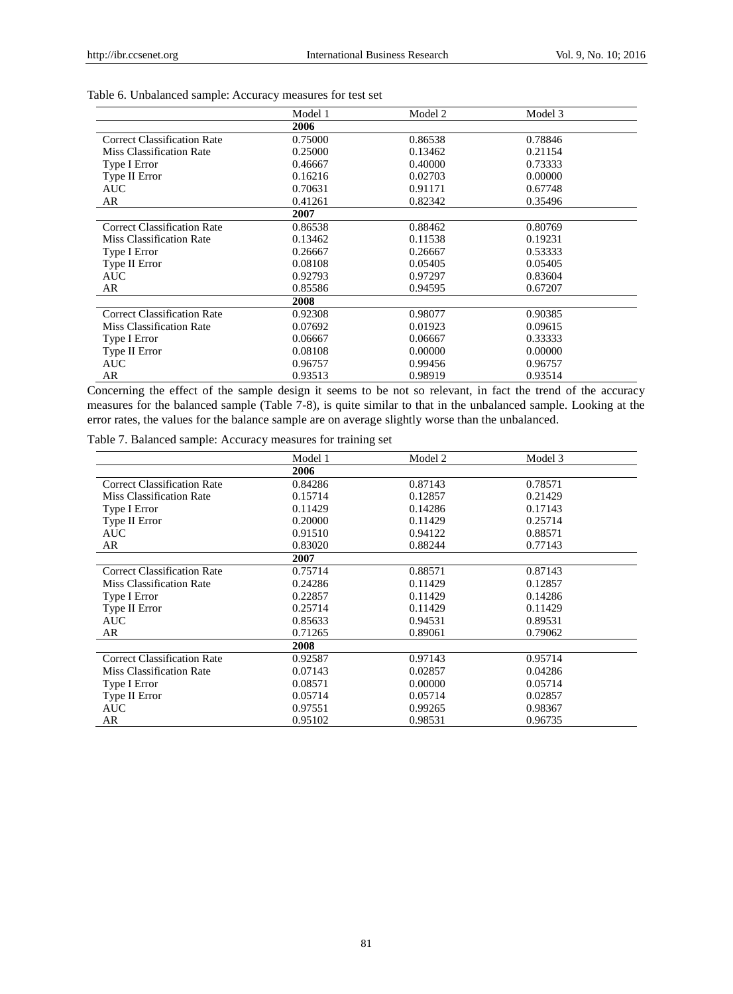|                                    | Model 1 | Model 2 | Model 3 |  |
|------------------------------------|---------|---------|---------|--|
|                                    | 2006    |         |         |  |
| <b>Correct Classification Rate</b> | 0.75000 | 0.86538 | 0.78846 |  |
| <b>Miss Classification Rate</b>    | 0.25000 | 0.13462 | 0.21154 |  |
| Type I Error                       | 0.46667 | 0.40000 | 0.73333 |  |
| Type II Error                      | 0.16216 | 0.02703 | 0.00000 |  |
| AUC –                              | 0.70631 | 0.91171 | 0.67748 |  |
| AR                                 | 0.41261 | 0.82342 | 0.35496 |  |
|                                    | 2007    |         |         |  |
| <b>Correct Classification Rate</b> | 0.86538 | 0.88462 | 0.80769 |  |
| <b>Miss Classification Rate</b>    | 0.13462 | 0.11538 | 0.19231 |  |
| Type I Error                       | 0.26667 | 0.26667 | 0.53333 |  |
| Type II Error                      | 0.08108 | 0.05405 | 0.05405 |  |
| <b>AUC</b>                         | 0.92793 | 0.97297 | 0.83604 |  |
| AR                                 | 0.85586 | 0.94595 | 0.67207 |  |
|                                    | 2008    |         |         |  |
| <b>Correct Classification Rate</b> | 0.92308 | 0.98077 | 0.90385 |  |
| Miss Classification Rate           | 0.07692 | 0.01923 | 0.09615 |  |
| Type I Error                       | 0.06667 | 0.06667 | 0.33333 |  |
| Type II Error                      | 0.08108 | 0.00000 | 0.00000 |  |
| <b>AUC</b>                         | 0.96757 | 0.99456 | 0.96757 |  |
| AR                                 | 0.93513 | 0.98919 | 0.93514 |  |

## Table 6. Unbalanced sample: Accuracy measures for test set

Concerning the effect of the sample design it seems to be not so relevant, in fact the trend of the accuracy measures for the balanced sample (Table 7-8), is quite similar to that in the unbalanced sample. Looking at the error rates, the values for the balance sample are on average slightly worse than the unbalanced.

Table 7. Balanced sample: Accuracy measures for training set

|                                    | Model 1 | Model 2 | Model 3 |  |
|------------------------------------|---------|---------|---------|--|
|                                    | 2006    |         |         |  |
| <b>Correct Classification Rate</b> | 0.84286 | 0.87143 | 0.78571 |  |
| <b>Miss Classification Rate</b>    | 0.15714 | 0.12857 | 0.21429 |  |
| Type I Error                       | 0.11429 | 0.14286 | 0.17143 |  |
| Type II Error                      | 0.20000 | 0.11429 | 0.25714 |  |
| AUC                                | 0.91510 | 0.94122 | 0.88571 |  |
| AR                                 | 0.83020 | 0.88244 | 0.77143 |  |
|                                    | 2007    |         |         |  |
| <b>Correct Classification Rate</b> | 0.75714 | 0.88571 | 0.87143 |  |
| <b>Miss Classification Rate</b>    | 0.24286 | 0.11429 | 0.12857 |  |
| Type I Error                       | 0.22857 | 0.11429 | 0.14286 |  |
| Type II Error                      | 0.25714 | 0.11429 | 0.11429 |  |
| <b>AUC</b>                         | 0.85633 | 0.94531 | 0.89531 |  |
| AR                                 | 0.71265 | 0.89061 | 0.79062 |  |
|                                    | 2008    |         |         |  |
| <b>Correct Classification Rate</b> | 0.92587 | 0.97143 | 0.95714 |  |
| <b>Miss Classification Rate</b>    | 0.07143 | 0.02857 | 0.04286 |  |
| Type I Error                       | 0.08571 | 0.00000 | 0.05714 |  |
| Type II Error                      | 0.05714 | 0.05714 | 0.02857 |  |
| <b>AUC</b>                         | 0.97551 | 0.99265 | 0.98367 |  |
| AR                                 | 0.95102 | 0.98531 | 0.96735 |  |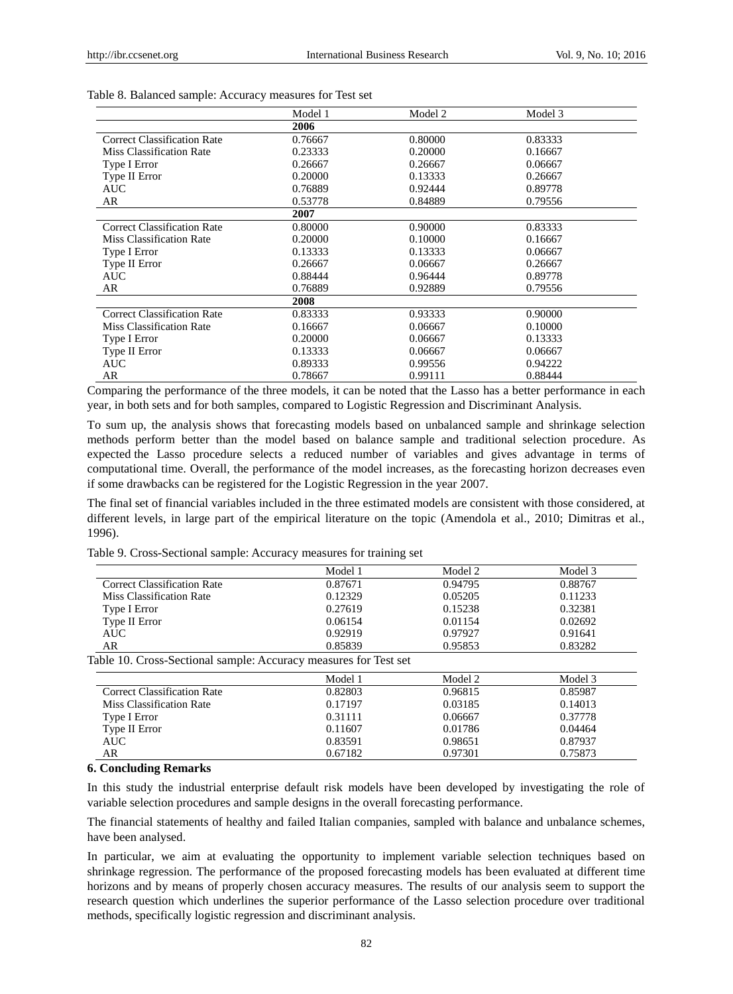|                                    | Model 1 | Model 2 | Model 3 |
|------------------------------------|---------|---------|---------|
|                                    | 2006    |         |         |
| <b>Correct Classification Rate</b> | 0.76667 | 0.80000 | 0.83333 |
| <b>Miss Classification Rate</b>    | 0.23333 | 0.20000 | 0.16667 |
| Type I Error                       | 0.26667 | 0.26667 | 0.06667 |
| Type II Error                      | 0.20000 | 0.13333 | 0.26667 |
| AUC                                | 0.76889 | 0.92444 | 0.89778 |
| AR                                 | 0.53778 | 0.84889 | 0.79556 |
|                                    | 2007    |         |         |
| <b>Correct Classification Rate</b> | 0.80000 | 0.90000 | 0.83333 |
| <b>Miss Classification Rate</b>    | 0.20000 | 0.10000 | 0.16667 |
| Type I Error                       | 0.13333 | 0.13333 | 0.06667 |
| Type II Error                      | 0.26667 | 0.06667 | 0.26667 |
| <b>AUC</b>                         | 0.88444 | 0.96444 | 0.89778 |
| AR                                 | 0.76889 | 0.92889 | 0.79556 |
|                                    | 2008    |         |         |
| <b>Correct Classification Rate</b> | 0.83333 | 0.93333 | 0.90000 |
| <b>Miss Classification Rate</b>    | 0.16667 | 0.06667 | 0.10000 |
| Type I Error                       | 0.20000 | 0.06667 | 0.13333 |
| Type II Error                      | 0.13333 | 0.06667 | 0.06667 |
| <b>AUC</b>                         | 0.89333 | 0.99556 | 0.94222 |
| AR                                 | 0.78667 | 0.99111 | 0.88444 |

#### Table 8. Balanced sample: Accuracy measures for Test set

Comparing the performance of the three models, it can be noted that the Lasso has a better performance in each year, in both sets and for both samples, compared to Logistic Regression and Discriminant Analysis.

To sum up, the analysis shows that forecasting models based on unbalanced sample and shrinkage selection methods perform better than the model based on balance sample and traditional selection procedure. As expected the Lasso procedure selects a reduced number of variables and gives advantage in terms of computational time. Overall, the performance of the model increases, as the forecasting horizon decreases even if some drawbacks can be registered for the Logistic Regression in the year 2007.

The final set of financial variables included in the three estimated models are consistent with those considered, at different levels, in large part of the empirical literature on the topic (Amendola et al., 2010; Dimitras et al., 1996).

Table 9. Cross-Sectional sample: Accuracy measures for training set

|                                                                  | Model 1 | Model 2 | Model 3 |
|------------------------------------------------------------------|---------|---------|---------|
| <b>Correct Classification Rate</b>                               | 0.87671 | 0.94795 | 0.88767 |
| Miss Classification Rate                                         | 0.12329 | 0.05205 | 0.11233 |
| Type I Error                                                     | 0.27619 | 0.15238 | 0.32381 |
| Type II Error                                                    | 0.06154 | 0.01154 | 0.02692 |
| <b>AUC</b>                                                       | 0.92919 | 0.97927 | 0.91641 |
| AR                                                               | 0.85839 | 0.95853 | 0.83282 |
| Table 10. Cross-Sectional sample: Accuracy measures for Test set | Model 1 | Model 2 | Model 3 |
|                                                                  |         |         |         |
| <b>Correct Classification Rate</b>                               | 0.82803 | 0.96815 | 0.85987 |
| Miss Classification Rate                                         | 0.17197 | 0.03185 | 0.14013 |
| Type I Error                                                     | 0.31111 | 0.06667 | 0.37778 |
| Type II Error                                                    | 0.11607 | 0.01786 | 0.04464 |
| <b>AUC</b>                                                       | 0.83591 | 0.98651 | 0.87937 |
| AR                                                               | 0.67182 | 0.97301 | 0.75873 |
|                                                                  |         |         |         |

#### **6. Concluding Remarks**

In this study the industrial enterprise default risk models have been developed by investigating the role of variable selection procedures and sample designs in the overall forecasting performance.

The financial statements of healthy and failed Italian companies, sampled with balance and unbalance schemes, have been analysed.

In particular, we aim at evaluating the opportunity to implement variable selection techniques based on shrinkage regression. The performance of the proposed forecasting models has been evaluated at different time horizons and by means of properly chosen accuracy measures. The results of our analysis seem to support the research question which underlines the superior performance of the Lasso selection procedure over traditional methods, specifically logistic regression and discriminant analysis.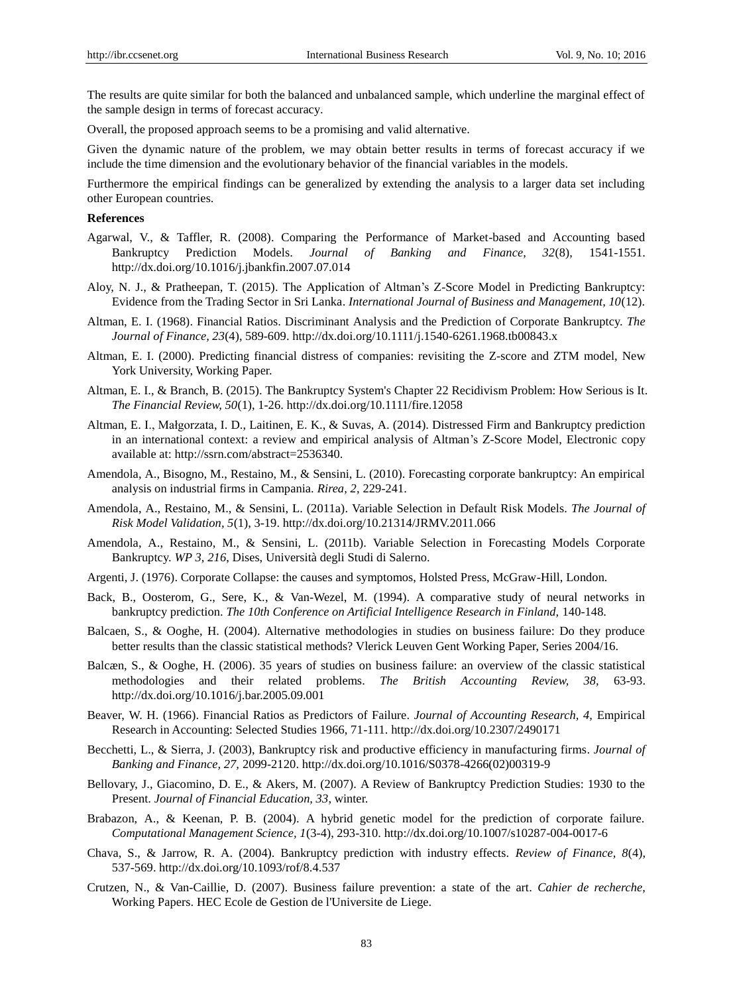The results are quite similar for both the balanced and unbalanced sample, which underline the marginal effect of the sample design in terms of forecast accuracy.

Overall, the proposed approach seems to be a promising and valid alternative.

Given the dynamic nature of the problem, we may obtain better results in terms of forecast accuracy if we include the time dimension and the evolutionary behavior of the financial variables in the models.

Furthermore the empirical findings can be generalized by extending the analysis to a larger data set including other European countries.

#### **References**

- Agarwal, V., & Taffler, R. (2008). Comparing the Performance of Market-based and Accounting based Bankruptcy Prediction Models. *Journal of Banking and Finance, 32*(8), 1541-1551. <http://dx.doi.org/10.1016/j.jbankfin.2007.07.014>
- Aloy, N. J., & Pratheepan, T. (2015). The Application of Altman's Z-Score Model in Predicting Bankruptcy: Evidence from the Trading Sector in Sri Lanka. *International Journal of Business and Management, 10*(12).
- Altman, E. I. (1968). Financial Ratios. Discriminant Analysis and the Prediction of Corporate Bankruptcy. *The Journal of Finance, 23*(4), 589-609. <http://dx.doi.org/10.1111/j.1540-6261.1968.tb00843.x>
- Altman, E. I. (2000). Predicting financial distress of companies: revisiting the Z-score and ZTM model, New York University, Working Paper.
- Altman, E. I., & Branch, B. (2015). The Bankruptcy System's Chapter 22 Recidivism Problem: How Serious is It. *The Financial Review, 50*(1), 1-26. <http://dx.doi.org/10.1111/fire.12058>
- Altman, E. I., Małgorzata, I. D., Laitinen, E. K., & Suvas, A. (2014). Distressed Firm and Bankruptcy prediction in an international context: a review and empirical analysis of Altman's Z-Score Model, Electronic copy available at: http://ssrn.com/abstract=2536340.
- Amendola, A., Bisogno, M., Restaino, M., & Sensini, L. (2010). Forecasting corporate bankruptcy: An empirical analysis on industrial firms in Campania. *Rirea, 2,* 229-241.
- Amendola, A., Restaino, M., & Sensini, L. (2011a). Variable Selection in Default Risk Models. *The Journal of Risk Model Validation, 5*(1), 3-19. <http://dx.doi.org/10.21314/JRMV.2011.066>
- Amendola, A., Restaino, M., & Sensini, L. (2011b). Variable Selection in Forecasting Models Corporate Bankruptcy. *WP 3, 216*, Dises, Università degli Studi di Salerno.
- Argenti, J. (1976). Corporate Collapse: the causes and symptomos, Holsted Press, McGraw-Hill, London.
- Back, B., Oosterom, G., Sere, K., & Van-Wezel, M. (1994). A comparative study of neural networks in bankruptcy prediction. *The 10th Conference on Artificial Intelligence Research in Finland,* 140-148.
- Balcaen, S., & Ooghe, H. (2004). Alternative methodologies in studies on business failure: Do they produce better results than the classic statistical methods? Vlerick Leuven Gent Working Paper, Series 2004/16.
- Balcæn, S., & Ooghe, H. (2006). 35 years of studies on business failure: an overview of the classic statistical methodologies and their related problems. *The British Accounting Review, 38,* 63-93. <http://dx.doi.org/10.1016/j.bar.2005.09.001>
- Beaver, W. H. (1966). Financial Ratios as Predictors of Failure. *Journal of Accounting Research, 4,* Empirical Research in Accounting: Selected Studies 1966, 71-111. <http://dx.doi.org/10.2307/2490171>
- Becchetti, L., & Sierra, J. (2003), Bankruptcy risk and productive efficiency in manufacturing firms. *Journal of Banking and Finance, 27,* 2099-2120. [http://dx.doi.org/10.1016/S0378-4266\(02\)00319-9](http://dx.doi.org/10.1016/S0378-4266%2802%2900319-9)
- Bellovary, J., Giacomino, D. E., & Akers, M. (2007). A Review of Bankruptcy Prediction Studies: 1930 to the Present. *Journal of Financial Education, 33*, winter.
- Brabazon, A., & Keenan, P. B. (2004). A hybrid genetic model for the prediction of corporate failure. *Computational Management Science, 1*(3-4), 293-310. <http://dx.doi.org/10.1007/s10287-004-0017-6>
- Chava, S., & Jarrow, R. A. (2004). Bankruptcy prediction with industry effects. *Review of Finance, 8*(4), 537-569. <http://dx.doi.org/10.1093/rof/8.4.537>
- Crutzen, N., & Van-Caillie, D. (2007). Business failure prevention: a state of the art. *Cahier de recherche,* Working Papers. HEC Ecole de Gestion de l'Universite de Liege.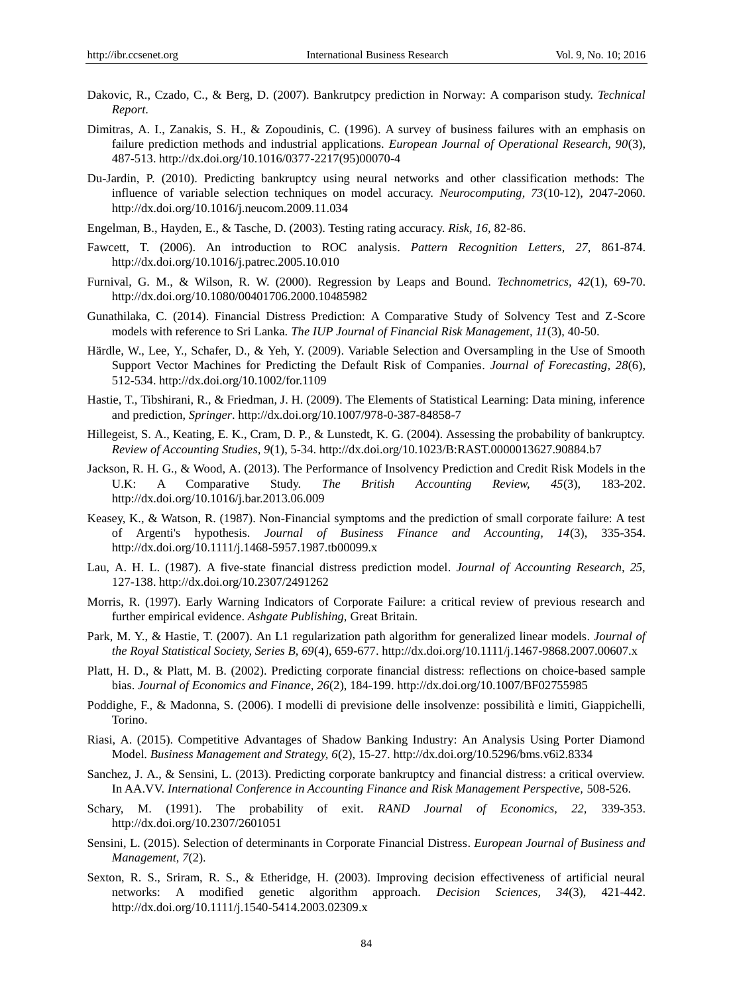- Dakovic, R., Czado, C., & Berg, D. (2007). Bankrutpcy prediction in Norway: A comparison study. *Technical Report*.
- Dimitras, A. I., Zanakis, S. H., & Zopoudinis, C. (1996). A survey of business failures with an emphasis on failure prediction methods and industrial applications. *European Journal of Operational Research, 90*(3), 487-513. [http://dx.doi.org/10.1016/0377-2217\(95\)00070-4](http://dx.doi.org/10.1016/0377-2217%2895%2900070-4)
- Du-Jardin, P. (2010). Predicting bankruptcy using neural networks and other classification methods: The influence of variable selection techniques on model accuracy. *Neurocomputing, 73*(10-12), 2047-2060. <http://dx.doi.org/10.1016/j.neucom.2009.11.034>
- Engelman, B., Hayden, E., & Tasche, D. (2003). Testing rating accuracy. *Risk, 16,* 82-86.
- Fawcett, T. (2006). An introduction to ROC analysis. *Pattern Recognition Letters, 27,* 861-874. <http://dx.doi.org/10.1016/j.patrec.2005.10.010>
- Furnival, G. M., & Wilson, R. W. (2000). Regression by Leaps and Bound. *Technometrics, 42*(1), 69-70. <http://dx.doi.org/10.1080/00401706.2000.10485982>
- Gunathilaka, C. (2014). Financial Distress Prediction: A Comparative Study of Solvency Test and Z-Score models with reference to Sri Lanka. *The IUP Journal of Financial Risk Management, 11*(3), 40-50.
- Härdle, W., Lee, Y., Schafer, D., & Yeh, Y. (2009). Variable Selection and Oversampling in the Use of Smooth Support Vector Machines for Predicting the Default Risk of Companies. *Journal of Forecasting, 28*(6), 512-534. <http://dx.doi.org/10.1002/for.1109>
- Hastie, T., Tibshirani, R., & Friedman, J. H. (2009). The Elements of Statistical Learning: Data mining, inference and prediction, *Springer*. <http://dx.doi.org/10.1007/978-0-387-84858-7>
- Hillegeist, S. A., Keating, E. K., Cram, D. P., & Lunstedt, K. G. (2004). Assessing the probability of bankruptcy. *Review of Accounting Studies, 9*(1), 5-34. <http://dx.doi.org/10.1023/B:RAST.0000013627.90884.b7>
- Jackson, R. H. G., & Wood, A. (2013). The Performance of Insolvency Prediction and Credit Risk Models in the U.K: A Comparative Study. *The British Accounting Review, 45*(3), 183-202. <http://dx.doi.org/10.1016/j.bar.2013.06.009>
- Keasey, K., & Watson, R. (1987). Non-Financial symptoms and the prediction of small corporate failure: A test of Argenti's hypothesis. *Journal of Business Finance and Accounting, 14*(3), 335-354. <http://dx.doi.org/10.1111/j.1468-5957.1987.tb00099.x>
- Lau, A. H. L. (1987). A five-state financial distress prediction model. *Journal of Accounting Research, 25,*  127-138. <http://dx.doi.org/10.2307/2491262>
- Morris, R. (1997). Early Warning Indicators of Corporate Failure: a critical review of previous research and further empirical evidence. *Ashgate Publishing,* Great Britain.
- Park, M. Y., & Hastie, T. (2007). An L1 regularization path algorithm for generalized linear models. *Journal of the Royal Statistical Society, Series B, 69*(4), 659-677. <http://dx.doi.org/10.1111/j.1467-9868.2007.00607.x>
- Platt, H. D., & Platt, M. B. (2002). Predicting corporate financial distress: reflections on choice-based sample bias. *Journal of Economics and Finance, 26*(2), 184-199[. http://dx.doi.org/10.1007/BF02755985](http://dx.doi.org/10.1007/BF02755985)
- Poddighe, F., & Madonna, S. (2006). I modelli di previsione delle insolvenze: possibilità e limiti, Giappichelli, Torino.
- Riasi, A. (2015). Competitive Advantages of Shadow Banking Industry: An Analysis Using Porter Diamond Model. *Business Management and Strategy, 6*(2), 15-27. http://dx.doi.org/10.5296/bms.v6i2.8334
- Sanchez, J. A., & Sensini, L. (2013). Predicting corporate bankruptcy and financial distress: a critical overview. In AA.VV. *International Conference in Accounting Finance and Risk Management Perspective,* 508-526.
- Schary, M. (1991). The probability of exit. *RAND Journal of Economics, 22,* 339-353. <http://dx.doi.org/10.2307/2601051>
- Sensini, L. (2015). Selection of determinants in Corporate Financial Distress. *European Journal of Business and Management, 7*(2).
- Sexton, R. S., Sriram, R. S., & Etheridge, H. (2003). Improving decision effectiveness of artificial neural networks: A modified genetic algorithm approach. *Decision Sciences, 34*(3), 421-442. <http://dx.doi.org/10.1111/j.1540-5414.2003.02309.x>